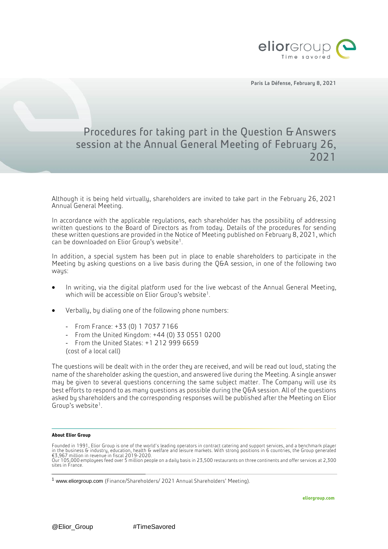

Paris La Défense, February 8, 2021

## Procedures for taking part in the Question & Answers session at the Annual General Meeting of February 26, 2021

Although it is being held virtually, shareholders are invited to take part in the February 26, 2021 Annual General Meeting.

In accordance with the applicable regulations, each shareholder has the possibility of addressing written questions to the Board of Directors as from today. Details of the procedures for sending these written questions are provided in the Notice of Meeting published on February 8, 2021, which can be downloaded on Elior Group's website<sup>1</sup>.

In addition, a special system has been put in place to enable shareholders to participate in the Meeting by asking questions on a live basis during the QGA session, in one of the following two ways:

- In writing, via the digital platform used for the live webcast of the Annual General Meeting, which will be accessible on Elior Group's website $^1.$
- Verbally, by dialing one of the following phone numbers:
	- From France: +33 (0) 1 7037 7166
	- From the United Kingdom: +44 (0) 33 0551 0200
	- From the United States: +1 212 999 6659
	- (cost of a local call)

The questions will be dealt with in the order they are received, and will be read out loud, stating the name of the shareholder asking the question, and answered live during the Meeting. A single answer may be given to several questions concerning the same subject matter. The Company will use its best efforts to respond to as many questions as possible during the QGA session. All of the questions asked by shareholders and the corresponding responses will be published after the Meeting on Elior Group's website<sup>1</sup>.

## **About Elior Group**

-

Founded in 1991, Elior Group is one of the world's leading operators in contract catering and support services, and a benchmark player<br>in the business & industry, education, health & welfare and leisure markets. With stro Our 105,000 employees feed over 5 million people on a daily basis in 23,500 restaurants on three continents and offer services at 2,300 sites in France.

<sup>&</sup>lt;sup>1</sup> www.eliorgroup.com (Finance/Shareholders/ 2021 Annual Shareholders' Meeting).